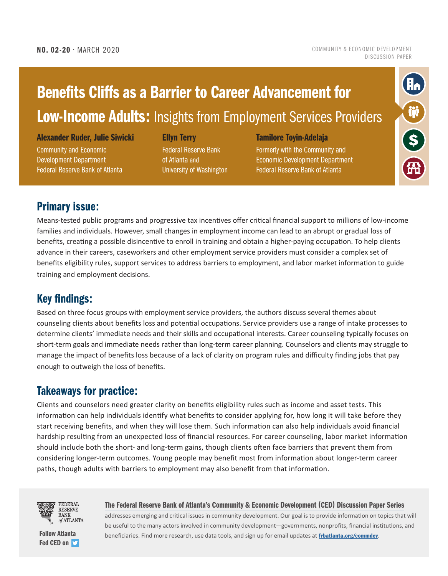[COMMUNITY & ECONOMIC DEVELOPMENT](https://www.frbatlanta.org/community-development/publications/discussion-papers.aspx)  [DISCUSSION PAPER](https://www.frbatlanta.org/community-development/publications/discussion-papers.aspx)

## Benefits Cliffs as a Barrier to Career Advancement for **Low-Income Adults: Insights from Employment Services Providers**

Alexander Ruder, Julie Siwicki

Community and Economic Development Department Federal Reserve Bank of Atlanta

#### Ellyn Terry

Federal Reserve Bank of Atlanta and University of Washington

#### Tamilore Toyin-Adelaja

Formerly with the Community and Economic Development Department Federal Reserve Bank of Atlanta



## Primary issue:

Means-tested public programs and progressive tax incentives offer critical financial support to millions of low-income families and individuals. However, small changes in employment income can lead to an abrupt or gradual loss of benefits, creating a possible disincentive to enroll in training and obtain a higher-paying occupation. To help clients advance in their careers, caseworkers and other employment service providers must consider a complex set of benefits eligibility rules, support services to address barriers to employment, and labor market information to guide training and employment decisions.

## Key findings:

Based on three focus groups with employment service providers, the authors discuss several themes about counseling clients about benefits loss and potential occupations. Service providers use a range of intake processes to determine clients' immediate needs and their skills and occupational interests. Career counseling typically focuses on short-term goals and immediate needs rather than long-term career planning. Counselors and clients may struggle to manage the impact of benefits loss because of a lack of clarity on program rules and difficulty finding jobs that pay enough to outweigh the loss of benefits.

## Takeaways for practice:

Clients and counselors need greater clarity on benefits eligibility rules such as income and asset tests. This information can help individuals identify what benefits to consider applying for, how long it will take before they start receiving benefits, and when they will lose them. Such information can also help individuals avoid financial hardship resulting from an unexpected loss of financial resources. For career counseling, labor market information should include both the short- and long-term gains, though clients often face barriers that prevent them from considering longer-term outcomes. Young people may benefit most from information about longer-term career paths, though adults with barriers to employment may also benefit from that information.



[Fed CED on](https://twitter.com/atlfedcomdev?lang=en) **S** 

[The Federal Reserve Bank of Atlanta's Community & Economic Development \(CED\) Discussion Paper Series](https://www.frbatlanta.org/community-development/publications/discussion-papers.aspx)

addresses emerging and critical issues in community development. Our goal is to provide information on topics that will be useful to the many actors involved in community development—governments, nonprofits, financial institutions, and [Follow Atlanta](https://twitter.com/atlfedcomdev?lang=en) **beneficiaries. Find more research, use data tools, and sign up for email updates at [frbatlanta.org/commdev](https://www.frbatlanta.org/community-development.aspx).**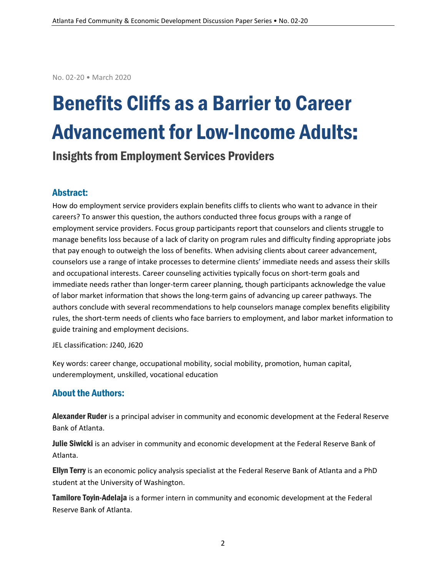No. 02-20 • March 2020

# Benefits Cliffs as a Barrier to Career Advancement for Low-Income Adults:

## Insights from Employment Services Providers

#### Abstract:

How do employment service providers explain benefits cliffs to clients who want to advance in their careers? To answer this question, the authors conducted three focus groups with a range of employment service providers. Focus group participants report that counselors and clients struggle to manage benefits loss because of a lack of clarity on program rules and difficulty finding appropriate jobs that pay enough to outweigh the loss of benefits. When advising clients about career advancement, counselors use a range of intake processes to determine clients' immediate needs and assess their skills and occupational interests. Career counseling activities typically focus on short-term goals and immediate needs rather than longer-term career planning, though participants acknowledge the value of labor market information that shows the long-term gains of advancing up career pathways. The authors conclude with several recommendations to help counselors manage complex benefits eligibility rules, the short-term needs of clients who face barriers to employment, and labor market information to guide training and employment decisions.

JEL classification: J240, J620

Key words: career change, occupational mobility, social mobility, promotion, human capital, underemployment, unskilled, vocational education

#### About the Authors:

Alexander Ruder is a principal adviser in community and economic development at the Federal Reserve Bank of Atlanta.

Julie Siwicki is an adviser in community and economic development at the Federal Reserve Bank of Atlanta.

**Ellyn Terry** is an economic policy analysis specialist at the Federal Reserve Bank of Atlanta and a PhD student at the University of Washington.

**Tamilore Toyin-Adelaja** is a former intern in community and economic development at the Federal Reserve Bank of Atlanta.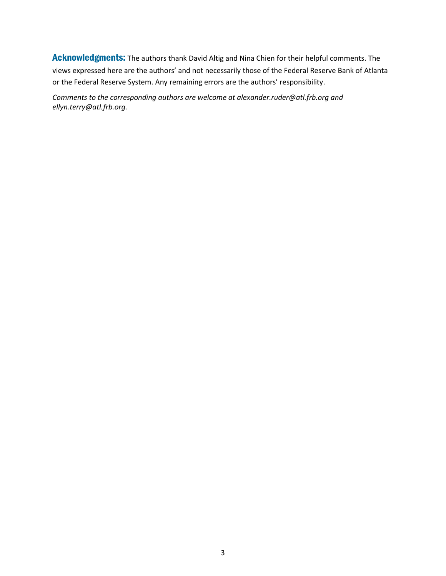Acknowledgments: The authors thank David Altig and Nina Chien for their helpful comments. The views expressed here are the authors' and not necessarily those of the Federal Reserve Bank of Atlanta or the Federal Reserve System. Any remaining errors are the authors' responsibility.

*Comments to the corresponding authors are welcome at alexander.ruder@atl.frb.org and ellyn.terry@atl.frb.org.*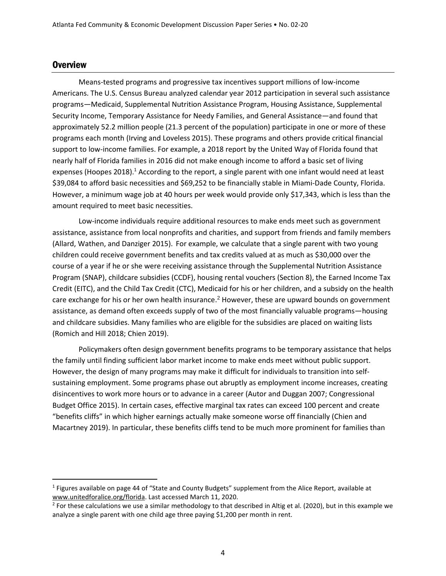#### **Overview**

 $\overline{a}$ 

Means-tested programs and progressive tax incentives support millions of low-income Americans. The U.S. Census Bureau analyzed calendar year 2012 participation in several such assistance programs—Medicaid, Supplemental Nutrition Assistance Program, Housing Assistance, Supplemental Security Income, Temporary Assistance for Needy Families, and General Assistance—and found that approximately 52.2 million people (21.3 percent of the population) participate in one or more of these programs each month (Irving and Loveless 2015). These programs and others provide critical financial support to low-income families. For example, a 2018 report by the United Way of Florida found that nearly half of Florida families in 2016 did not make enough income to afford a basic set of living expenses (Hoopes 2018).<sup>1</sup> According to the report, a single parent with one infant would need at least \$39,084 to afford basic necessities and \$69,252 to be financially stable in Miami-Dade County, Florida. However, a minimum wage job at 40 hours per week would provide only \$17,343, which is less than the amount required to meet basic necessities.

Low-income individuals require additional resources to make ends meet such as government assistance, assistance from local nonprofits and charities, and support from friends and family members (Allard, Wathen, and Danziger 2015). For example, we calculate that a single parent with two young children could receive government benefits and tax credits valued at as much as \$30,000 over the course of a year if he or she were receiving assistance through the Supplemental Nutrition Assistance Program (SNAP), childcare subsidies (CCDF), housing rental vouchers (Section 8), the Earned Income Tax Credit (EITC), and the Child Tax Credit (CTC), Medicaid for his or her children, and a subsidy on the health care exchange for his or her own health insurance.<sup>2</sup> However, these are upward bounds on government assistance, as demand often exceeds supply of two of the most financially valuable programs—housing and childcare subsidies. Many families who are eligible for the subsidies are placed on waiting lists (Romich and Hill 2018; Chien 2019).

Policymakers often design government benefits programs to be temporary assistance that helps the family until finding sufficient labor market income to make ends meet without public support. However, the design of many programs may make it difficult for individuals to transition into selfsustaining employment. Some programs phase out abruptly as employment income increases, creating disincentives to work more hours or to advance in a career (Autor and Duggan 2007; Congressional Budget Office 2015). In certain cases, effective marginal tax rates can exceed 100 percent and create "benefits cliffs" in which higher earnings actually make someone worse off financially (Chien and Macartney 2019). In particular, these benefits cliffs tend to be much more prominent for families than

<sup>&</sup>lt;sup>1</sup> Figures available on page 44 of "State and County Budgets" supplement from the Alice Report, available at [www.unitedforalice.org/florida.](http://www.unitedforalice.org/florida) Last accessed March 11, 2020.

 $^2$  For these calculations we use a similar methodology to that described in Altig et al. (2020), but in this example we analyze a single parent with one child age three paying \$1,200 per month in rent.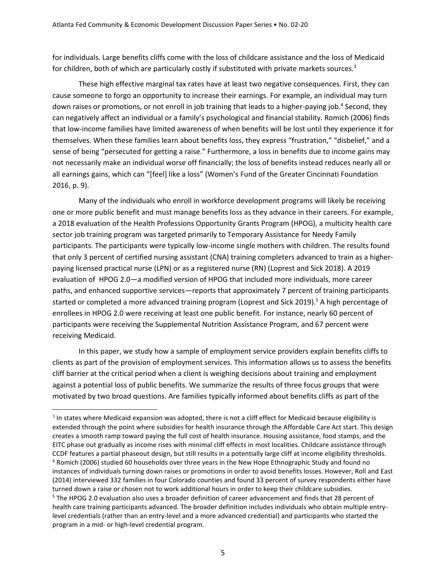for individuals. Large benefits cliffs come with the loss of childcare assistance and the loss of Medicaid for children, both of which are particularly costly if substituted with private markets sources.<sup>3</sup>

These high effective marginal tax rates have at least two negative consequences. First, they can cause someone to forgo an opportunity to increase their earnings. For example, an individual may turn down raises or promotions, or not enroll in job training that leads to a higher-paying job.<sup>4</sup> Second, they can negatively affect an individual or a family's psychological and financial stability. Romich (2006) finds that low-income families have limited awareness of when benefits will be lost until they experience it for themselves. When these families learn about benefits loss, they express "frustration," "disbelief," and a sense of being "persecuted for getting a raise." Furthermore, a loss in benefits due to income gains may not necessarily make an individual worse off financially; the loss of benefits instead reduces nearly all or all earnings gains, which can "[feel] like a loss" (Women's Fund of the Greater Cincinnati Foundation 2016, p. 9).

Many of the individuals who enroll in workforce development programs will likely be receiving one or more public benefit and must manage benefits loss as they advance in their careers. For example, a 2018 evaluation of the Health Professions Opportunity Grants Program (HPOG), a multicity health care sector job training program was targeted primarily to Temporary Assistance for Needy Family participants. The participants were typically low-income single mothers with children. The results found that only 3 percent of certified nursing assistant (CNA) training completers advanced to train as a higherpaying licensed practical nurse (LPN) or as a registered nurse (RN) (Loprest and Sick 2018). A 2019 evaluation of HPOG 2.0—a modified version of HPOG that included more individuals, more career paths, and enhanced supportive services—reports that approximately 7 percent of training participants started or completed a more advanced training program (Loprest and Sick 2019). <sup>5</sup> A high percentage of enrollees in HPOG 2.0 were receiving at least one public benefit. For instance, nearly 60 percent of participants were receiving the Supplemental Nutrition Assistance Program, and 67 percent were receiving Medicaid.

In this paper, we study how a sample of employment service providers explain benefits cliffs to clients as part of the provision of employment services. This information allows us to assess the benefits cliff barrier at the critical period when a client is weighing decisions about training and employment against a potential loss of public benefits. We summarize the results of three focus groups that were motivated by two broad questions. Are families typically informed about benefits cliffs as part of the

 $3$  In states where Medicaid expansion was adopted, there is not a cliff effect for Medicaid because eligibility is extended through the point where subsidies for health insurance through the Affordable Care Act start. This design creates a smooth ramp toward paying the full cost of health insurance. Housing assistance, food stamps, and the EITC phase out gradually as income rises with minimal cliff effects in most localities. Childcare assistance through CCDF features a partial phaseout design, but still results in a potentially large cliff at income eligibility thresholds. <sup>4</sup> Romich (2006) studied 60 households over three years in the New Hope Ethnographic Study and found no instances of individuals turning down raises or promotions in order to avoid benefits losses. However, Roll and East (2014) interviewed 332 families in four Colorado counties and found 33 percent of survey respondents either have turned down a raise or chosen not to work additional hours in order to keep their childcare subsidies. <sup>5</sup> The HPOG 2.0 evaluation also uses a broader definition of career advancement and finds that 28 percent of health care training participants advanced. The broader definition includes individuals who obtain multiple entrylevel credentials (rather than an entry-level and a more advanced credential) and participants who started the program in a mid- or high-level credential program.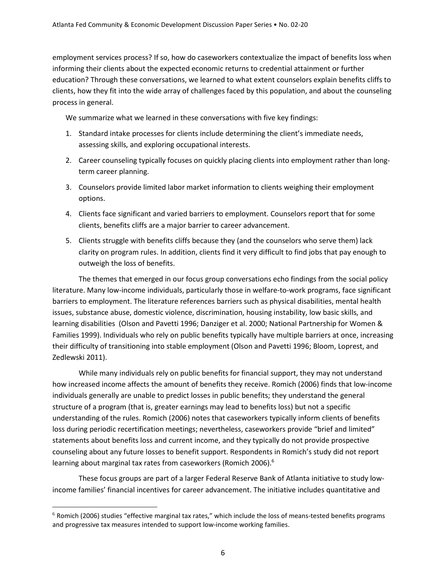employment services process? If so, how do caseworkers contextualize the impact of benefits loss when informing their clients about the expected economic returns to credential attainment or further education? Through these conversations, we learned to what extent counselors explain benefits cliffs to clients, how they fit into the wide array of challenges faced by this population, and about the counseling process in general.

We summarize what we learned in these conversations with five key findings:

- 1. Standard intake processes for clients include determining the client's immediate needs, assessing skills, and exploring occupational interests.
- 2. Career counseling typically focuses on quickly placing clients into employment rather than longterm career planning.
- 3. Counselors provide limited labor market information to clients weighing their employment options.
- 4. Clients face significant and varied barriers to employment. Counselors report that for some clients, benefits cliffs are a major barrier to career advancement.
- 5. Clients struggle with benefits cliffs because they (and the counselors who serve them) lack clarity on program rules. In addition, clients find it very difficult to find jobs that pay enough to outweigh the loss of benefits.

The themes that emerged in our focus group conversations echo findings from the social policy literature. Many low-income individuals, particularly those in welfare-to-work programs, face significant barriers to employment. The literature references barriers such as physical disabilities, mental health issues, substance abuse, domestic violence, discrimination, housing instability, low basic skills, and learning disabilities (Olson and Pavetti 1996; Danziger et al. 2000; National Partnership for Women & Families 1999). Individuals who rely on public benefits typically have multiple barriers at once, increasing their difficulty of transitioning into stable employment (Olson and Pavetti 1996; Bloom, Loprest, and Zedlewski 2011).

While many individuals rely on public benefits for financial support, they may not understand how increased income affects the amount of benefits they receive. Romich (2006) finds that low-income individuals generally are unable to predict losses in public benefits; they understand the general structure of a program (that is, greater earnings may lead to benefits loss) but not a specific understanding of the rules. Romich (2006) notes that caseworkers typically inform clients of benefits loss during periodic recertification meetings; nevertheless, caseworkers provide "brief and limited" statements about benefits loss and current income, and they typically do not provide prospective counseling about any future losses to benefit support. Respondents in Romich's study did not report learning about marginal tax rates from caseworkers (Romich 2006). 6

These focus groups are part of a larger Federal Reserve Bank of Atlanta initiative to study lowincome families' financial incentives for career advancement. The initiative includes quantitative and

 $6$  Romich (2006) studies "effective marginal tax rates," which include the loss of means-tested benefits programs and progressive tax measures intended to support low-income working families.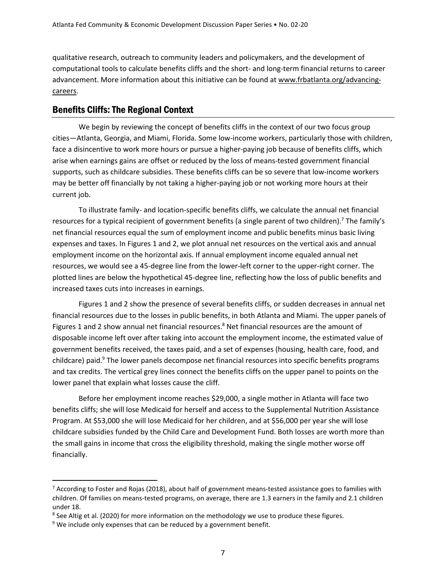qualitative research, outreach to community leaders and policymakers, and the development of computational tools to calculate benefits cliffs and the short- and long-term financial returns to career advancement. More information about this initiative can be found at www.frbatlanta.org/advancingcareers.

#### Benefits Cliffs:The Regional Context

We begin by reviewing the concept of benefits cliffs in the context of our two focus group cities—Atlanta, Georgia, and Miami, Florida. Some low-income workers, particularly those with children, face a disincentive to work more hours or pursue a higher-paying job because of benefits cliffs, which arise when earnings gains are offset or reduced by the loss of means-tested government financial supports, such as childcare subsidies. These benefits cliffs can be so severe that low-income workers may be better off financially by not taking a higher-paying job or not working more hours at their current job.

To illustrate family- and location-specific benefits cliffs, we calculate the annual net financial resources for a typical recipient of government benefits (a single parent of two children).<sup>7</sup> The family's net financial resources equal the sum of employment income and public benefits minus basic living expenses and taxes. In Figures 1 and 2, we plot annual net resources on the vertical axis and annual employment income on the horizontal axis. If annual employment income equaled annual net resources, we would see a 45-degree line from the lower-left corner to the upper-right corner. The plotted lines are below the hypothetical 45-degree line, reflecting how the loss of public benefits and increased taxes cuts into increases in earnings.

Figures 1 and 2 show the presence of several benefits cliffs, or sudden decreases in annual net financial resources due to the losses in public benefits, in both Atlanta and Miami. The upper panels of Figures 1 and 2 show annual net financial resources.<sup>8</sup> Net financial resources are the amount of disposable income left over after taking into account the employment income, the estimated value of government benefits received, the taxes paid, and a set of expenses (housing, health care, food, and childcare) paid.<sup>9</sup> The lower panels decompose net financial resources into specific benefits programs and tax credits. The vertical grey lines connect the benefits cliffs on the upper panel to points on the lower panel that explain what losses cause the cliff.

Before her employment income reaches \$29,000, a single mother in Atlanta will face two benefits cliffs; she will lose Medicaid for herself and access to the Supplemental Nutrition Assistance Program. At \$53,000 she will lose Medicaid for her children, and at \$56,000 per year she will lose childcare subsidies funded by the Child Care and Development Fund. Both losses are worth more than the small gains in income that cross the eligibility threshold, making the single mother worse off financially.

 $7$  According to Foster and Rojas (2018), about half of government means-tested assistance goes to families with children. Of families on means-tested programs, on average, there are 1.3 earners in the family and 2.1 children under 18.

 $^8$  See Altig et al. (2020) for more information on the methodology we use to produce these figures.

 $9$  We include only expenses that can be reduced by a government benefit.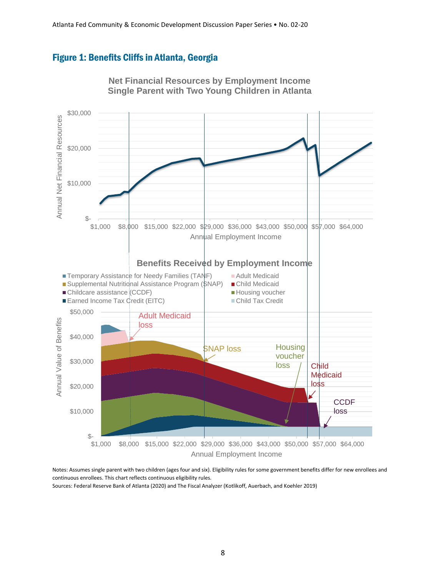#### Figure 1: Benefits Cliffs in Atlanta, Georgia



**Net Financial Resources by Employment Income Single Parent with Two Young Children in Atlanta**

Notes: Assumes single parent with two children (ages four and six). Eligibility rules for some government benefits differ for new enrollees and continuous enrollees. This chart reflects continuous eligibility rules.

Sources: Federal Reserve Bank of Atlanta (2020) and The Fiscal Analyzer (Kotlikoff, Auerbach, and Koehler 2019)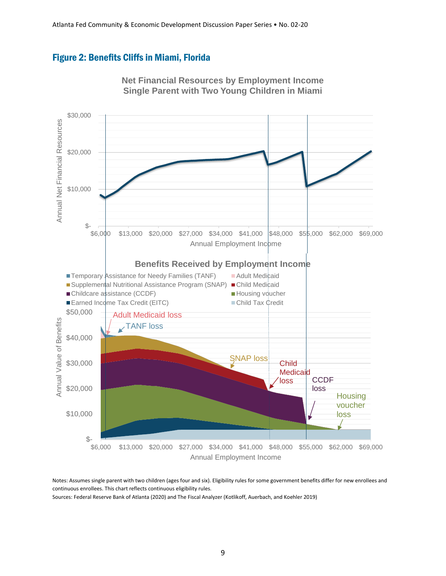#### Figure 2: Benefits Cliffs in Miami, Florida



**Net Financial Resources by Employment Income Single Parent with Two Young Children in Miami**

Notes: Assumes single parent with two children (ages four and six). Eligibility rules for some government benefits differ for new enrollees and continuous enrollees. This chart reflects continuous eligibility rules.

Sources: Federal Reserve Bank of Atlanta (2020) and The Fiscal Analyzer (Kotlikoff, Auerbach, and Koehler 2019)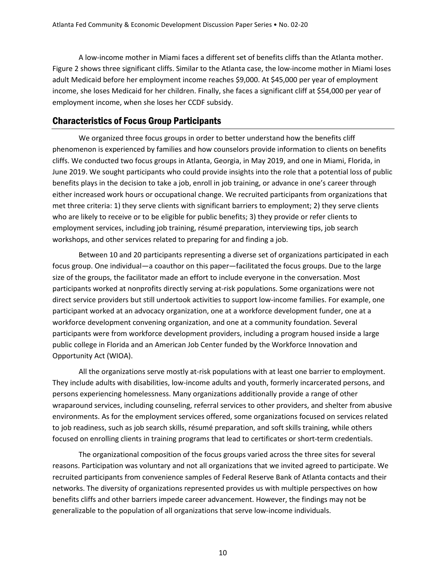A low-income mother in Miami faces a different set of benefits cliffs than the Atlanta mother. Figure 2 shows three significant cliffs. Similar to the Atlanta case, the low-income mother in Miami loses adult Medicaid before her employment income reaches \$9,000. At \$45,000 per year of employment income, she loses Medicaid for her children. Finally, she faces a significant cliff at \$54,000 per year of employment income, when she loses her CCDF subsidy.

#### Characteristics of Focus Group Participants

We organized three focus groups in order to better understand how the benefits cliff phenomenon is experienced by families and how counselors provide information to clients on benefits cliffs. We conducted two focus groups in Atlanta, Georgia, in May 2019, and one in Miami, Florida, in June 2019. We sought participants who could provide insights into the role that a potential loss of public benefits plays in the decision to take a job, enroll in job training, or advance in one's career through either increased work hours or occupational change. We recruited participants from organizations that met three criteria: 1) they serve clients with significant barriers to employment; 2) they serve clients who are likely to receive or to be eligible for public benefits; 3) they provide or refer clients to employment services, including job training, résumé preparation, interviewing tips, job search workshops, and other services related to preparing for and finding a job.

Between 10 and 20 participants representing a diverse set of organizations participated in each focus group. One individual—a coauthor on this paper—facilitated the focus groups. Due to the large size of the groups, the facilitator made an effort to include everyone in the conversation. Most participants worked at nonprofits directly serving at-risk populations. Some organizations were not direct service providers but still undertook activities to support low-income families. For example, one participant worked at an advocacy organization, one at a workforce development funder, one at a workforce development convening organization, and one at a community foundation. Several participants were from workforce development providers, including a program housed inside a large public college in Florida and an American Job Center funded by the Workforce Innovation and Opportunity Act (WIOA).

All the organizations serve mostly at-risk populations with at least one barrier to employment. They include adults with disabilities, low-income adults and youth, formerly incarcerated persons, and persons experiencing homelessness. Many organizations additionally provide a range of other wraparound services, including counseling, referral services to other providers, and shelter from abusive environments. As for the employment services offered, some organizations focused on services related to job readiness, such as job search skills, résumé preparation, and soft skills training, while others focused on enrolling clients in training programs that lead to certificates or short-term credentials.

The organizational composition of the focus groups varied across the three sites for several reasons. Participation was voluntary and not all organizations that we invited agreed to participate. We recruited participants from convenience samples of Federal Reserve Bank of Atlanta contacts and their networks. The diversity of organizations represented provides us with multiple perspectives on how benefits cliffs and other barriers impede career advancement. However, the findings may not be generalizable to the population of all organizations that serve low-income individuals.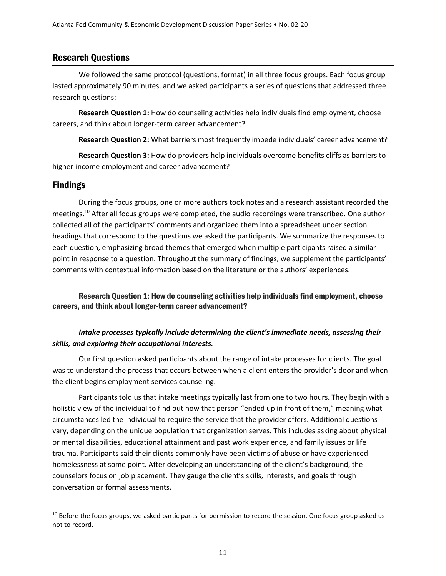#### Research Questions

We followed the same protocol (questions, format) in all three focus groups. Each focus group lasted approximately 90 minutes, and we asked participants a series of questions that addressed three research questions:

**Research Question 1:** How do counseling activities help individuals find employment, choose careers, and think about longer-term career advancement?

**Research Question 2:** What barriers most frequently impede individuals' career advancement?

**Research Question 3:** How do providers help individuals overcome benefits cliffs as barriers to higher-income employment and career advancement?

#### Findings

 $\overline{a}$ 

During the focus groups, one or more authors took notes and a research assistant recorded the meetings. <sup>10</sup> After all focus groups were completed, the audio recordings were transcribed. One author collected all of the participants' comments and organized them into a spreadsheet under section headings that correspond to the questions we asked the participants. We summarize the responses to each question, emphasizing broad themes that emerged when multiple participants raised a similar point in response to a question. Throughout the summary of findings, we supplement the participants' comments with contextual information based on the literature or the authors' experiences.

Research Question 1: How do counseling activities help individuals find employment, choose careers, and think about longer-term career advancement?

#### *Intake processes typically include determining the client's immediate needs, assessing their skills, and exploring their occupational interests.*

Our first question asked participants about the range of intake processes for clients. The goal was to understand the process that occurs between when a client enters the provider's door and when the client begins employment services counseling.

Participants told us that intake meetings typically last from one to two hours. They begin with a holistic view of the individual to find out how that person "ended up in front of them," meaning what circumstances led the individual to require the service that the provider offers. Additional questions vary, depending on the unique population that organization serves. This includes asking about physical or mental disabilities, educational attainment and past work experience, and family issues or life trauma. Participants said their clients commonly have been victims of abuse or have experienced homelessness at some point. After developing an understanding of the client's background, the counselors focus on job placement. They gauge the client's skills, interests, and goals through conversation or formal assessments.

<sup>&</sup>lt;sup>10</sup> Before the focus groups, we asked participants for permission to record the session. One focus group asked us not to record.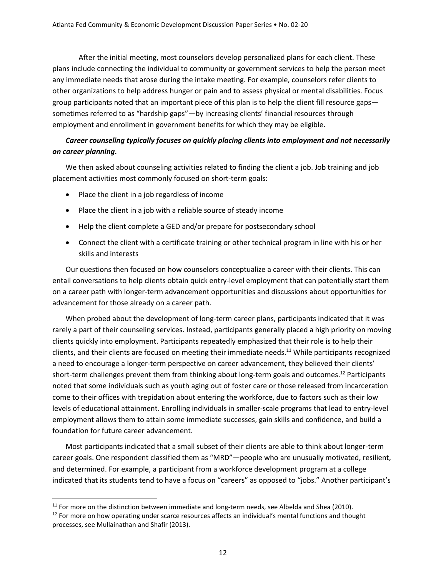After the initial meeting, most counselors develop personalized plans for each client. These plans include connecting the individual to community or government services to help the person meet any immediate needs that arose during the intake meeting. For example, counselors refer clients to other organizations to help address hunger or pain and to assess physical or mental disabilities. Focus group participants noted that an important piece of this plan is to help the client fill resource gaps sometimes referred to as "hardship gaps"—by increasing clients' financial resources through employment and enrollment in government benefits for which they may be eligible.

#### *Career counseling typically focuses on quickly placing clients into employment and not necessarily on career planning.*

We then asked about counseling activities related to finding the client a job. Job training and job placement activities most commonly focused on short-term goals:

- Place the client in a job regardless of income
- Place the client in a job with a reliable source of steady income
- Help the client complete a GED and/or prepare for postsecondary school
- Connect the client with a certificate training or other technical program in line with his or her skills and interests

Our questions then focused on how counselors conceptualize a career with their clients. This can entail conversations to help clients obtain quick entry-level employment that can potentially start them on a career path with longer-term advancement opportunities and discussions about opportunities for advancement for those already on a career path.

When probed about the development of long-term career plans, participants indicated that it was rarely a part of their counseling services. Instead, participants generally placed a high priority on moving clients quickly into employment. Participants repeatedly emphasized that their role is to help their clients, and their clients are focused on meeting their immediate needs.<sup>11</sup> While participants recognized a need to encourage a longer-term perspective on career advancement, they believed their clients' short-term challenges prevent them from thinking about long-term goals and outcomes.<sup>12</sup> Participants noted that some individuals such as youth aging out of foster care or those released from incarceration come to their offices with trepidation about entering the workforce, due to factors such as their low levels of educational attainment. Enrolling individuals in smaller-scale programs that lead to entry-level employment allows them to attain some immediate successes, gain skills and confidence, and build a foundation for future career advancement.

Most participants indicated that a small subset of their clients are able to think about longer-term career goals. One respondent classified them as "MRD"—people who are unusually motivated, resilient, and determined. For example, a participant from a workforce development program at a college indicated that its students tend to have a focus on "careers" as opposed to "jobs." Another participant's

<sup>&</sup>lt;sup>11</sup> For more on the distinction between immediate and long-term needs, see Albelda and Shea (2010).

<sup>&</sup>lt;sup>12</sup> For more on how operating under scarce resources affects an individual's mental functions and thought processes, see Mullainathan and Shafir (2013).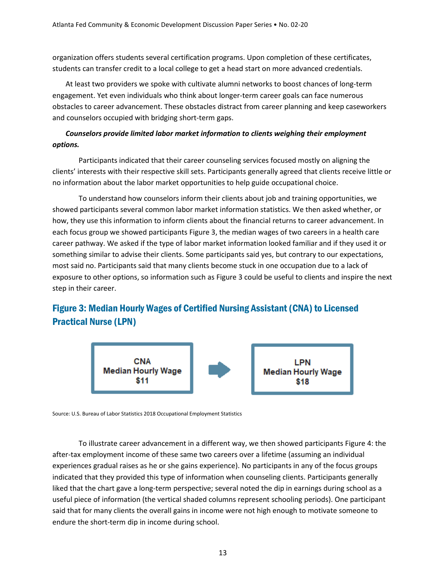organization offers students several certification programs. Upon completion of these certificates, students can transfer credit to a local college to get a head start on more advanced credentials.

At least two providers we spoke with cultivate alumni networks to boost chances of long-term engagement. Yet even individuals who think about longer-term career goals can face numerous obstacles to career advancement. These obstacles distract from career planning and keep caseworkers and counselors occupied with bridging short-term gaps.

#### *Counselors provide limited labor market information to clients weighing their employment options.*

Participants indicated that their career counseling services focused mostly on aligning the clients' interests with their respective skill sets. Participants generally agreed that clients receive little or no information about the labor market opportunities to help guide occupational choice.

To understand how counselors inform their clients about job and training opportunities, we showed participants several common labor market information statistics. We then asked whether, or how, they use this information to inform clients about the financial returns to career advancement. In each focus group we showed participants Figure 3, the median wages of two careers in a health care career pathway. We asked if the type of labor market information looked familiar and if they used it or something similar to advise their clients. Some participants said yes, but contrary to our expectations, most said no. Participants said that many clients become stuck in one occupation due to a lack of exposure to other options, so information such as Figure 3 could be useful to clients and inspire the next step in their career.

### Figure 3: Median Hourly Wages of Certified Nursing Assistant (CNA) to Licensed Practical Nurse (LPN)



Source: U.S. Bureau of Labor Statistics 2018 Occupational Employment Statistics

To illustrate career advancement in a different way, we then showed participants Figure 4: the after-tax employment income of these same two careers over a lifetime (assuming an individual experiences gradual raises as he or she gains experience). No participants in any of the focus groups indicated that they provided this type of information when counseling clients. Participants generally liked that the chart gave a long-term perspective; several noted the dip in earnings during school as a useful piece of information (the vertical shaded columns represent schooling periods). One participant said that for many clients the overall gains in income were not high enough to motivate someone to endure the short-term dip in income during school.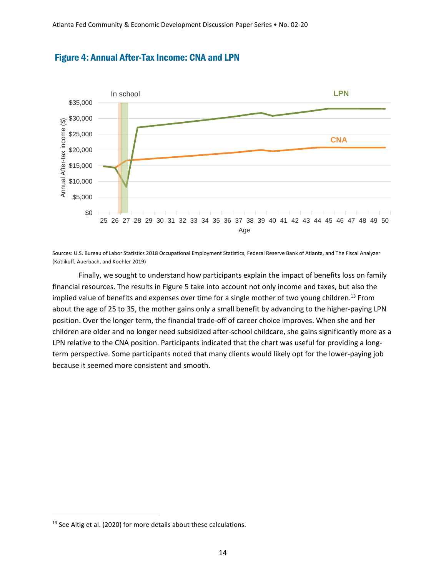



Sources: U.S. Bureau of Labor Statistics 2018 Occupational Employment Statistics, Federal Reserve Bank of Atlanta, and The Fiscal Analyzer (Kotlikoff, Auerbach, and Koehler 2019)

Finally, we sought to understand how participants explain the impact of benefits loss on family financial resources. The results in Figure 5 take into account not only income and taxes, but also the implied value of benefits and expenses over time for a single mother of two young children.<sup>13</sup> From about the age of 25 to 35, the mother gains only a small benefit by advancing to the higher-paying LPN position. Over the longer term, the financial trade-off of career choice improves. When she and her children are older and no longer need subsidized after-school childcare, she gains significantly more as a LPN relative to the CNA position. Participants indicated that the chart was useful for providing a longterm perspective. Some participants noted that many clients would likely opt for the lower-paying job because it seemed more consistent and smooth.

<sup>&</sup>lt;sup>13</sup> See Altig et al. (2020) for more details about these calculations.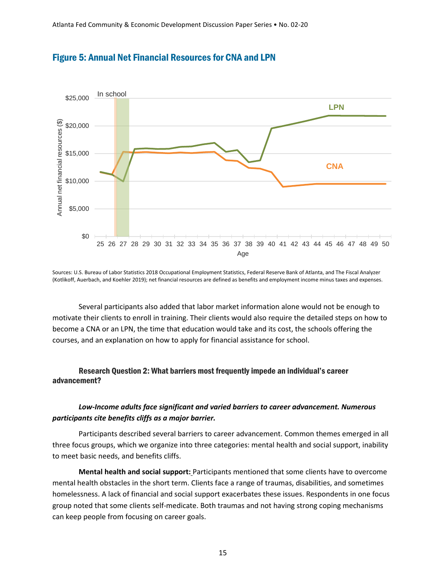

#### Figure 5: Annual Net Financial Resources for CNA and LPN

Sources: U.S. Bureau of Labor Statistics 2018 Occupational Employment Statistics, Federal Reserve Bank of Atlanta, and The Fiscal Analyzer (Kotlikoff, Auerbach, and Koehler 2019); net financial resources are defined as benefits and employment income minus taxes and expenses.

Several participants also added that labor market information alone would not be enough to motivate their clients to enroll in training. Their clients would also require the detailed steps on how to become a CNA or an LPN, the time that education would take and its cost, the schools offering the courses, and an explanation on how to apply for financial assistance for school.

#### Research Question 2: What barriers most frequently impede an individual's career advancement?

#### *Low-Income adults face significant and varied barriers to career advancement. Numerous participants cite benefits cliffs as a major barrier.*

Participants described several barriers to career advancement. Common themes emerged in all three focus groups, which we organize into three categories: mental health and social support, inability to meet basic needs, and benefits cliffs.

**Mental health and social support:** Participants mentioned that some clients have to overcome mental health obstacles in the short term. Clients face a range of traumas, disabilities, and sometimes homelessness. A lack of financial and social support exacerbates these issues. Respondents in one focus group noted that some clients self-medicate. Both traumas and not having strong coping mechanisms can keep people from focusing on career goals.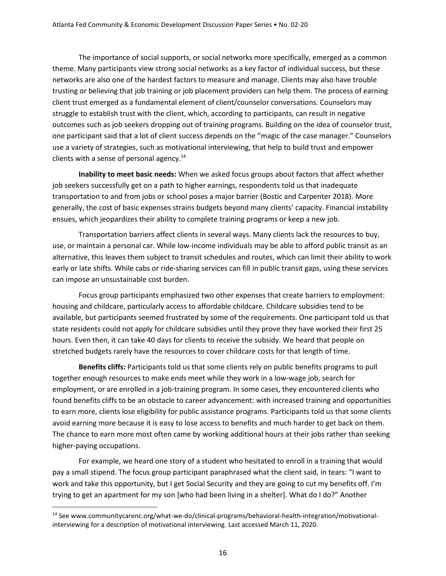The importance of social supports, or social networks more specifically, emerged as a common theme. Many participants view strong social networks as a key factor of individual success, but these networks are also one of the hardest factors to measure and manage. Clients may also have trouble trusting or believing that job training or job placement providers can help them. The process of earning client trust emerged as a fundamental element of client/counselor conversations. Counselors may struggle to establish trust with the client, which, according to participants, can result in negative outcomes such as job seekers dropping out of training programs. Building on the idea of counselor trust, one participant said that a lot of client success depends on the "magic of the case manager." Counselors use a variety of strategies, such as motivational interviewing, that help to build trust and empower clients with a sense of personal agency. $^{14}$ 

**Inability to meet basic needs:** When we asked focus groups about factors that affect whether job seekers successfully get on a path to higher earnings, respondents told us that inadequate transportation to and from jobs or school poses a major barrier (Bostic and Carpenter 2018). More generally, the cost of basic expenses strains budgets beyond many clients' capacity. Financial instability ensues, which jeopardizes their ability to complete training programs or keep a new job.

Transportation barriers affect clients in several ways. Many clients lack the resources to buy, use, or maintain a personal car. While low-income individuals may be able to afford public transit as an alternative, this leaves them subject to transit schedules and routes, which can limit their ability to work early or late shifts. While cabs or ride-sharing services can fill in public transit gaps, using these services can impose an unsustainable cost burden.

Focus group participants emphasized two other expenses that create barriers to employment: housing and childcare, particularly access to affordable childcare. Childcare subsidies tend to be available, but participants seemed frustrated by some of the requirements. One participant told us that state residents could not apply for childcare subsidies until they prove they have worked their first 25 hours. Even then, it can take 40 days for clients to receive the subsidy. We heard that people on stretched budgets rarely have the resources to cover childcare costs for that length of time.

**Benefits cliffs:** Participants told us that some clients rely on public benefits programs to pull together enough resources to make ends meet while they work in a low-wage job, search for employment, or are enrolled in a job-training program. In some cases, they encountered clients who found benefits cliffs to be an obstacle to career advancement: with increased training and opportunities to earn more, clients lose eligibility for public assistance programs. Participants told us that some clients avoid earning more because it is easy to lose access to benefits and much harder to get back on them. The chance to earn more most often came by working additional hours at their jobs rather than seeking higher-paying occupations.

For example, we heard one story of a student who hesitated to enroll in a training that would pay a small stipend. The focus group participant paraphrased what the client said, in tears: "I want to work and take this opportunity, but I get Social Security and they are going to cut my benefits off. I'm trying to get an apartment for my son [who had been living in a shelter]. What do I do?" Another

<sup>14</sup> See [www.communitycarenc.org/what-we-do/clinical-programs/behavioral-health-integration/motivational](http://www.communitycarenc.org/what-we-do/clinical-programs/behavioral-health-integration/motivational-interviewing)[interviewing](http://www.communitycarenc.org/what-we-do/clinical-programs/behavioral-health-integration/motivational-interviewing) for a description of motivational interviewing. Last accessed March 11, 2020.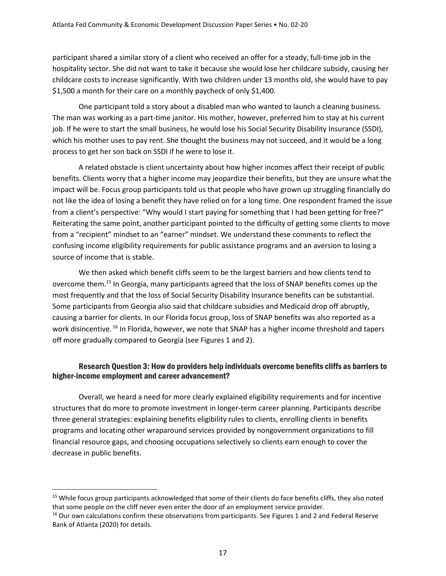participant shared a similar story of a client who received an offer for a steady, full-time job in the hospitality sector. She did not want to take it because she would lose her childcare subsidy, causing her childcare costs to increase significantly. With two children under 13 months old, she would have to pay \$1,500 a month for their care on a monthly paycheck of only \$1,400.

One participant told a story about a disabled man who wanted to launch a cleaning business. The man was working as a part-time janitor. His mother, however, preferred him to stay at his current job. If he were to start the small business, he would lose his Social Security Disability Insurance (SSDI), which his mother uses to pay rent. She thought the business may not succeed, and it would be a long process to get her son back on SSDI if he were to lose it.

A related obstacle is client uncertainty about how higher incomes affect their receipt of public benefits. Clients worry that a higher income may jeopardize their benefits, but they are unsure what the impact will be. Focus group participants told us that people who have grown up struggling financially do not like the idea of losing a benefit they have relied on for a long time. One respondent framed the issue from a client's perspective: "Why would I start paying for something that I had been getting for free?" Reiterating the same point, another participant pointed to the difficulty of getting some clients to move from a "recipient" mindset to an "earner" mindset. We understand these comments to reflect the confusing income eligibility requirements for public assistance programs and an aversion to losing a source of income that is stable.

We then asked which benefit cliffs seem to be the largest barriers and how clients tend to overcome them.<sup>15</sup> In Georgia, many participants agreed that the loss of SNAP benefits comes up the most frequently and that the loss of Social Security Disability Insurance benefits can be substantial. Some participants from Georgia also said that childcare subsidies and Medicaid drop off abruptly, causing a barrier for clients. In our Florida focus group, loss of SNAP benefits was also reported as a work disincentive. <sup>16</sup> In Florida, however, we note that SNAP has a higher income threshold and tapers off more gradually compared to Georgia (see Figures 1 and 2).

#### Research Question 3: How do providers help individuals overcome benefits cliffs as barriers to higher-income employment and career advancement?

Overall, we heard a need for more clearly explained eligibility requirements and for incentive structures that do more to promote investment in longer-term career planning. Participants describe three general strategies: explaining benefits eligibility rules to clients, enrolling clients in benefits programs and locating other wraparound services provided by nongovernment organizations to fill financial resource gaps, and choosing occupations selectively so clients earn enough to cover the decrease in public benefits.

<sup>&</sup>lt;sup>15</sup> While focus group participants acknowledged that some of their clients do face benefits cliffs, they also noted that some people on the cliff never even enter the door of an employment service provider.

<sup>&</sup>lt;sup>16</sup> Our own calculations confirm these observations from participants. See Figures 1 and 2 and Federal Reserve Bank of Atlanta (2020) for details.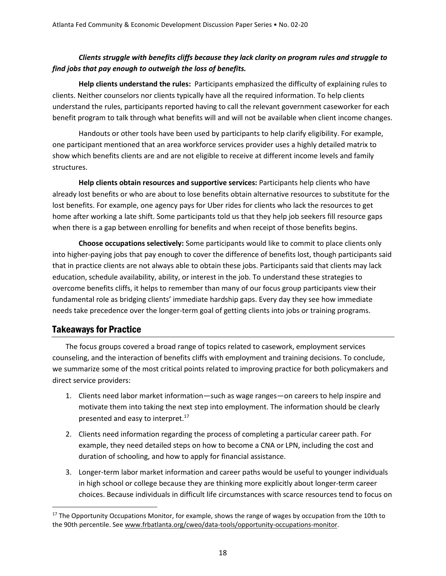#### *Clients struggle with benefits cliffs because they lack clarity on program rules and struggle to find jobs that pay enough to outweigh the loss of benefits.*

**Help clients understand the rules:** Participants emphasized the difficulty of explaining rules to clients. Neither counselors nor clients typically have all the required information. To help clients understand the rules, participants reported having to call the relevant government caseworker for each benefit program to talk through what benefits will and will not be available when client income changes.

Handouts or other tools have been used by participants to help clarify eligibility. For example, one participant mentioned that an area workforce services provider uses a highly detailed matrix to show which benefits clients are and are not eligible to receive at different income levels and family structures.

**Help clients obtain resources and supportive services:** Participants help clients who have already lost benefits or who are about to lose benefits obtain alternative resources to substitute for the lost benefits. For example, one agency pays for Uber rides for clients who lack the resources to get home after working a late shift. Some participants told us that they help job seekers fill resource gaps when there is a gap between enrolling for benefits and when receipt of those benefits begins.

**Choose occupations selectively:** Some participants would like to commit to place clients only into higher-paying jobs that pay enough to cover the difference of benefits lost, though participants said that in practice clients are not always able to obtain these jobs. Participants said that clients may lack education, schedule availability, ability, or interest in the job. To understand these strategies to overcome benefits cliffs, it helps to remember than many of our focus group participants view their fundamental role as bridging clients' immediate hardship gaps. Every day they see how immediate needs take precedence over the longer-term goal of getting clients into jobs or training programs.

#### Takeaways for Practice

 $\overline{a}$ 

The focus groups covered a broad range of topics related to casework, employment services counseling, and the interaction of benefits cliffs with employment and training decisions. To conclude, we summarize some of the most critical points related to improving practice for both policymakers and direct service providers:

- 1. Clients need labor market information—such as wage ranges—on careers to help inspire and motivate them into taking the next step into employment. The information should be clearly presented and easy to interpret.<sup>17</sup>
- 2. Clients need information regarding the process of completing a particular career path. For example, they need detailed steps on how to become a CNA or LPN, including the cost and duration of schooling, and how to apply for financial assistance.
- 3. Longer-term labor market information and career paths would be useful to younger individuals in high school or college because they are thinking more explicitly about longer-term career choices. Because individuals in difficult life circumstances with scarce resources tend to focus on

<sup>&</sup>lt;sup>17</sup> The Opportunity Occupations Monitor, for example, shows the range of wages by occupation from the 10th to the 90th percentile. See [www.frbatlanta.org/cweo/data-tools/opportunity-occupations-monitor.](http://www.frbatlanta.org/cweo/data-tools/opportunity-occupations-monitor)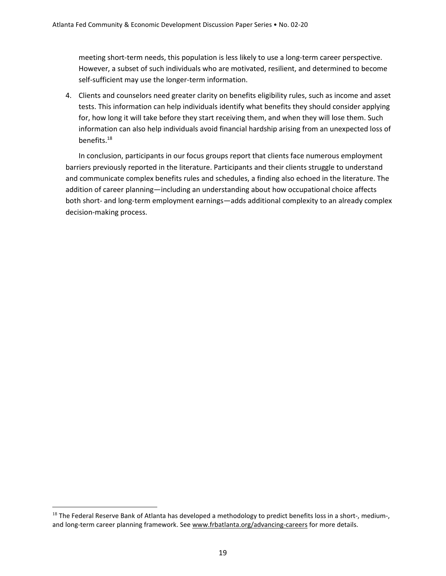meeting short-term needs, this population is less likely to use a long-term career perspective. However, a subset of such individuals who are motivated, resilient, and determined to become self-sufficient may use the longer-term information.

4. Clients and counselors need greater clarity on benefits eligibility rules, such as income and asset tests. This information can help individuals identify what benefits they should consider applying for, how long it will take before they start receiving them, and when they will lose them. Such information can also help individuals avoid financial hardship arising from an unexpected loss of benefits. 18

In conclusion, participants in our focus groups report that clients face numerous employment barriers previously reported in the literature. Participants and their clients struggle to understand and communicate complex benefits rules and schedules, a finding also echoed in the literature. The addition of career planning—including an understanding about how occupational choice affects both short- and long-term employment earnings—adds additional complexity to an already complex decision-making process.

 $18$  The Federal Reserve Bank of Atlanta has developed a methodology to predict benefits loss in a short-, medium-, and long-term career planning framework. See [www.frbatlanta.org/advancing-careers](http://www.frbatlanta.org/advancing-careers) for more details.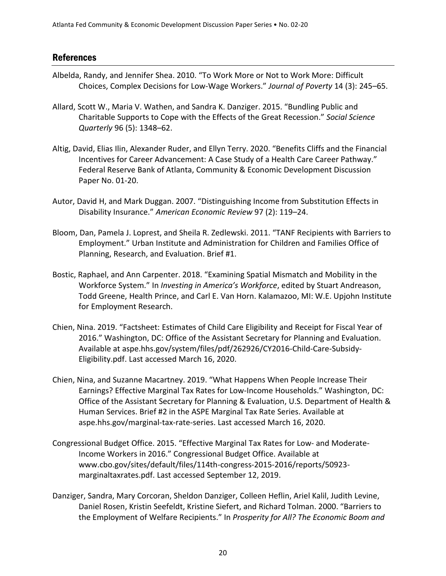#### References

- Albelda, Randy, and Jennifer Shea. 2010. "To Work More or Not to Work More: Difficult Choices, Complex Decisions for Low-Wage Workers." *Journal of Poverty* 14 (3): 245–65.
- Allard, Scott W., Maria V. Wathen, and Sandra K. Danziger. 2015. "Bundling Public and Charitable Supports to Cope with the Effects of the Great Recession." *Social Science Quarterly* 96 (5): 1348–62.
- Altig, David, Elias Ilin, Alexander Ruder, and Ellyn Terry. 2020. "Benefits Cliffs and the Financial Incentives for Career Advancement: A Case Study of a Health Care Career Pathway." Federal Reserve Bank of Atlanta, Community & Economic Development Discussion Paper No. 01-20.
- Autor, David H, and Mark Duggan. 2007. "Distinguishing Income from Substitution Effects in Disability Insurance." *American Economic Review* 97 (2): 119–24.
- Bloom, Dan, Pamela J. Loprest, and Sheila R. Zedlewski. 2011. "TANF Recipients with Barriers to Employment." Urban Institute and Administration for Children and Families Office of Planning, Research, and Evaluation. Brief #1.
- Bostic, Raphael, and Ann Carpenter. 2018. "Examining Spatial Mismatch and Mobility in the Workforce System." In *Investing in America's Workforce*, edited by Stuart Andreason, Todd Greene, Health Prince, and Carl E. Van Horn. Kalamazoo, MI: W.E. Upjohn Institute for Employment Research.
- Chien, Nina. 2019. "Factsheet: Estimates of Child Care Eligibility and Receipt for Fiscal Year of 2016." Washington, DC: Office of the Assistant Secretary for Planning and Evaluation. Available at aspe.hhs.gov/system/files/pdf/262926/CY2016-Child-Care-Subsidy-Eligibility.pdf. Last accessed March 16, 2020.
- Chien, Nina, and Suzanne Macartney. 2019. "What Happens When People Increase Their Earnings? Effective Marginal Tax Rates for Low-Income Households." Washington, DC: Office of the Assistant Secretary for Planning & Evaluation, U.S. Department of Health & Human Services. Brief #2 in the ASPE Marginal Tax Rate Series. Available at aspe.hhs.gov/marginal-tax-rate-series. Last accessed March 16, 2020.
- Congressional Budget Office. 2015. "Effective Marginal Tax Rates for Low- and Moderate-Income Workers in 2016." Congressional Budget Office. Available at www.cbo.gov/sites/default/files/114th-congress-2015-2016/reports/50923 marginaltaxrates.pdf. Last accessed September 12, 2019.
- Danziger, Sandra, Mary Corcoran, Sheldon Danziger, Colleen Heflin, Ariel Kalil, Judith Levine, Daniel Rosen, Kristin Seefeldt, Kristine Siefert, and Richard Tolman. 2000. "Barriers to the Employment of Welfare Recipients." In *Prosperity for All? The Economic Boom and*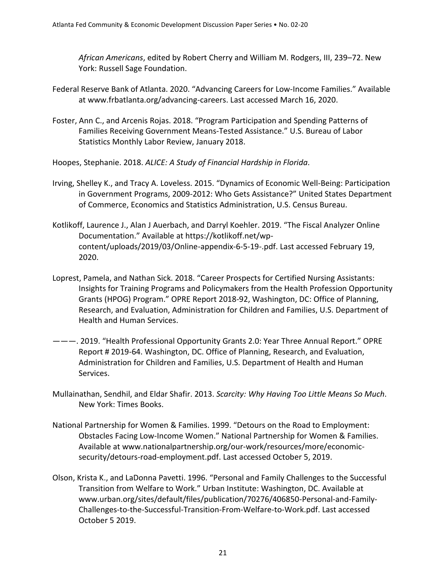*African Americans*, edited by Robert Cherry and William M. Rodgers, III, 239–72. New York: Russell Sage Foundation.

- Federal Reserve Bank of Atlanta. 2020. "Advancing Careers for Low-Income Families." Available at www.frbatlanta.org/advancing-careers. Last accessed March 16, 2020.
- Foster, Ann C., and Arcenis Rojas. 2018. "Program Participation and Spending Patterns of Families Receiving Government Means-Tested Assistance." U.S. Bureau of Labor Statistics Monthly Labor Review, January 2018.
- Hoopes, Stephanie. 2018. *ALICE: A Study of Financial Hardship in Florida*.
- Irving, Shelley K., and Tracy A. Loveless. 2015. "Dynamics of Economic Well-Being: Participation in Government Programs, 2009-2012: Who Gets Assistance?" United States Department of Commerce, Economics and Statistics Administration, U.S. Census Bureau.
- Kotlikoff, Laurence J., Alan J Auerbach, and Darryl Koehler. 2019. "The Fiscal Analyzer Online Documentation." Available at https://kotlikoff.net/wpcontent/uploads/2019/03/Online-appendix-6-5-19-.pdf. Last accessed February 19, 2020.
- Loprest, Pamela, and Nathan Sick. 2018. "Career Prospects for Certified Nursing Assistants: Insights for Training Programs and Policymakers from the Health Profession Opportunity Grants (HPOG) Program." OPRE Report 2018-92, Washington, DC: Office of Planning, Research, and Evaluation, Administration for Children and Families, U.S. Department of Health and Human Services.
- ———. 2019. "Health Professional Opportunity Grants 2.0: Year Three Annual Report." OPRE Report # 2019-64. Washington, DC. Office of Planning, Research, and Evaluation, Administration for Children and Families, U.S. Department of Health and Human Services.
- Mullainathan, Sendhil, and Eldar Shafir. 2013. *Scarcity: Why Having Too Little Means So Much*. New York: Times Books.
- National Partnership for Women & Families. 1999. "Detours on the Road to Employment: Obstacles Facing Low-Income Women." National Partnership for Women & Families. Available at www.nationalpartnership.org/our-work/resources/more/economicsecurity/detours-road-employment.pdf. Last accessed October 5, 2019.
- Olson, Krista K., and LaDonna Pavetti. 1996. "Personal and Family Challenges to the Successful Transition from Welfare to Work." Urban Institute: Washington, DC. Available at www.urban.org/sites/default/files/publication/70276/406850-Personal-and-Family-Challenges-to-the-Successful-Transition-From-Welfare-to-Work.pdf. Last accessed October 5 2019.